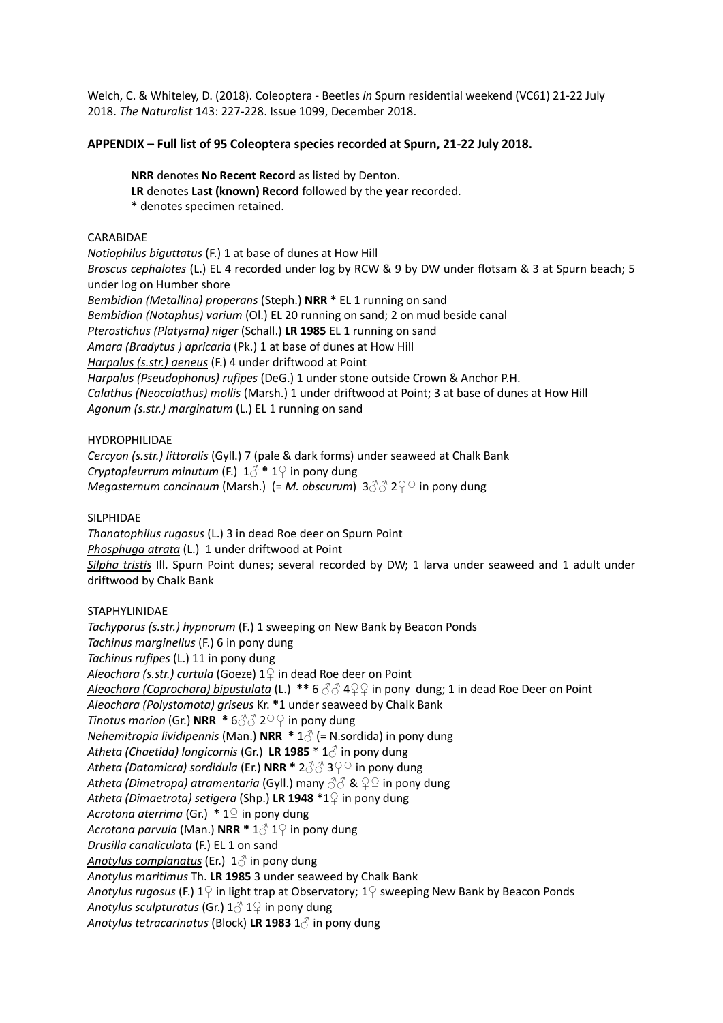Welch, C. & Whiteley, D. (2018). Coleoptera - Beetles *in* Spurn residential weekend (VC61) 21-22 July 2018. *The Naturalist* 143: 227-228. Issue 1099, December 2018.

# **APPENDIX – Full list of 95 Coleoptera species recorded at Spurn, 21-22 July 2018.**

**NRR** denotes **No Recent Record** as listed by Denton. **LR** denotes **Last (known) Record** followed by the **year** recorded. **\*** denotes specimen retained.

## CARABIDAE

*Notiophilus biguttatus* (F.) 1 at base of dunes at How Hill *Broscus cephalotes* (L.) EL 4 recorded under log by RCW & 9 by DW under flotsam & 3 at Spurn beach; 5 under log on Humber shore *Bembidion (Metallina) properans* (Steph.) **NRR \*** EL 1 running on sand *Bembidion (Notaphus) varium* (Ol.) EL 20 running on sand; 2 on mud beside canal *Pterostichus (Platysma) niger* (Schall.) **LR 1985** EL 1 running on sand *Amara (Bradytus ) apricaria* (Pk.) 1 at base of dunes at How Hill *Harpalus (s.str.) aeneus* (F.) 4 under driftwood at Point *Harpalus (Pseudophonus) rufipes* (DeG.) 1 under stone outside Crown & Anchor P.H. *Calathus (Neocalathus) mollis* (Marsh.) 1 under driftwood at Point; 3 at base of dunes at How Hill *Agonum (s.str.) marginatum* (L.) EL 1 running on sand

### HYDROPHILIDAE

*Cercyon (s.str.) littoralis* (Gyll.) 7 (pale & dark forms) under seaweed at Chalk Bank *Cryptopleurrum minutum* (F.) 1♂ **\*** 1**♀** in pony dung *Megasternum concinnum* (Marsh.) (= *M. obscurum*) 3♂♂ 2♀♀ in pony dung

SILPHIDAE

*Thanatophilus rugosus* (L.) 3 in dead Roe deer on Spurn Point *Phosphuga atrata* (L.) 1 under driftwood at Point *Silpha tristis* Ill. Spurn Point dunes; several recorded by DW; 1 larva under seaweed and 1 adult under driftwood by Chalk Bank

STAPHYLINIDAE

*Tachyporus (s.str.) hypnorum* (F.) 1 sweeping on New Bank by Beacon Ponds *Tachinus marginellus* (F.) 6 in pony dung *Tachinus rufipes* (L.) 11 in pony dung *Aleochara (s.str.) curtula* (Goeze) 1**♀** in dead Roe deer on Point *Aleochara (Coprochara) bipustulata* (L.) **\*\*** 6 ♂**♂** 4**♀♀** in pony dung; 1 in dead Roe Deer on Point *Aleochara (Polystomota) griseus* Kr. **\***1 under seaweed by Chalk Bank *Tinotus morion* (Gr.) **NRR** \* 6 3 3 2 <del>2</del> in pony dung *Nehemitropia lividipennis* (Man.) **NRR \*** 1**♂** (= N.sordida) in pony dung *Atheta (Chaetida) longicornis* (Gr.) **LR 1985** \* 1♂ in pony dung *Atheta (Datomicra) sordidula* (Er.) **NRR \*** 2♂♂ 3♀♀ in pony dung *Atheta (Dimetropa) atramentaria* (Gyll.) many ♂♂ & ♀♀ in pony dung *Atheta (Dimaetrota) setigera* (Shp.) **LR 1948 \***1♀ in pony dung *Acrotona aterrima* (Gr.) **\*** 1♀ in pony dung *Acrotona parvula* (Man.) **NRR \*** 1♂ 1♀ in pony dung *Drusilla canaliculata* (F.) EL 1 on sand *Anotylus complanatus* (Er.) 1♂ in pony dung *Anotylus maritimus* Th. **LR 1985** 3 under seaweed by Chalk Bank *Anotylus rugosus* (F.) 1♀ in light trap at Observatory; 1♀ sweeping New Bank by Beacon Ponds *Anotylus sculpturatus* (Gr.) 1♂ 1♀ in pony dung *Anotylus tetracarinatus* (Block) **LR 1983** 1♂ in pony dung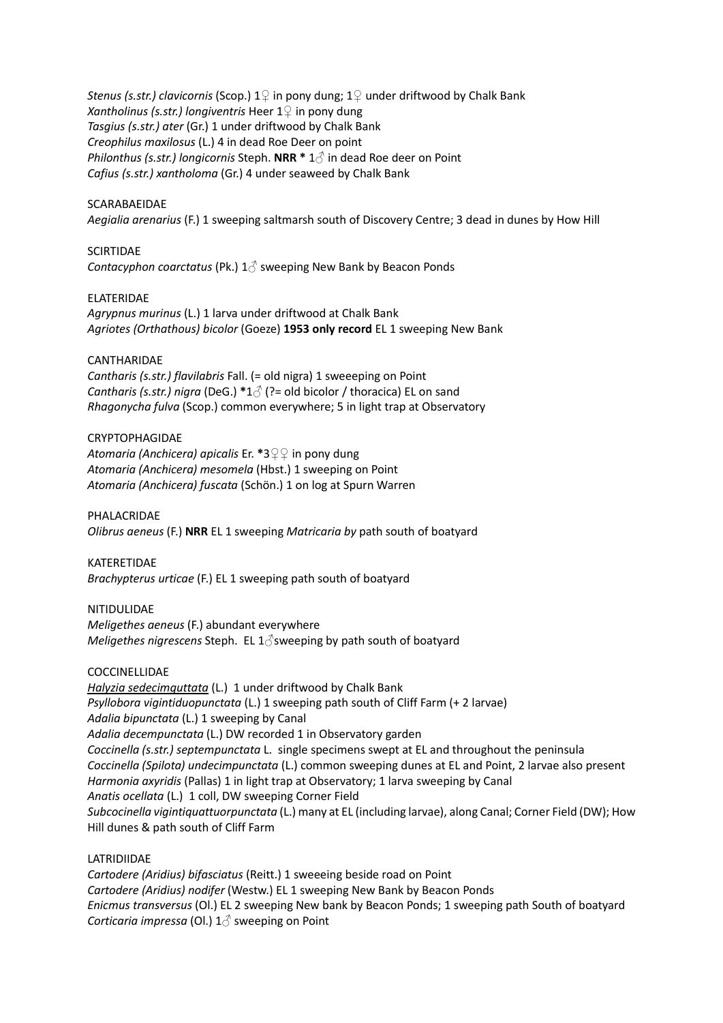*Stenus (s.str.) clavicornis* (Scop.) 1♀ in pony dung; 1♀ under driftwood by Chalk Bank *Xantholinus (s.str.) longiventris* Heer 1♀ in pony dung *Tasgius (s.str.) ater* (Gr.) 1 under driftwood by Chalk Bank *Creophilus maxilosus* (L.) 4 in dead Roe Deer on point *Philonthus (s.str.) longicornis* Steph. **NRR \*** 1♂ in dead Roe deer on Point *Cafius (s.str.) xantholoma* (Gr.) 4 under seaweed by Chalk Bank

## SCARABAEIDAE

*Aegialia arenarius* (F.) 1 sweeping saltmarsh south of Discovery Centre; 3 dead in dunes by How Hill

#### **SCIRTIDAF**

*Contacyphon coarctatus* (Pk.) 1♂ sweeping New Bank by Beacon Ponds

### ELATERIDAE

*Agrypnus murinus* (L.) 1 larva under driftwood at Chalk Bank *Agriotes (Orthathous) bicolor* (Goeze) **1953 only record** EL 1 sweeping New Bank

### CANTHARIDAE

*Cantharis (s.str.) flavilabris* Fall. (= old nigra) 1 sweeeping on Point *Cantharis (s.str.) nigra* (DeG.) **\***1♂ (?= old bicolor / thoracica) EL on sand *Rhagonycha fulva* (Scop.) common everywhere; 5 in light trap at Observatory

#### CRYPTOPHAGIDAE

*Atomaria (Anchicera) apicalis* Er. **\***3♀♀ in pony dung *Atomaria (Anchicera) mesomela* (Hbst.) 1 sweeping on Point *Atomaria (Anchicera) fuscata* (Schӧn.) 1 on log at Spurn Warren

PHALACRIDAE *Olibrus aeneus* (F.) **NRR** EL 1 sweeping *Matricaria by* path south of boatyard

KATERETIDAE *Brachypterus urticae* (F.) EL 1 sweeping path south of boatyard

#### NITIDULIDAE

*Meligethes aeneus* (F.) abundant everywhere *Meligethes nigrescens* Steph. EL 1 ∂sweeping by path south of boatyard

#### COCCINELLIDAE

*Halyzia sedecimguttata* (L.) 1 under driftwood by Chalk Bank *Psyllobora vigintiduopunctata* (L.) 1 sweeping path south of Cliff Farm (+ 2 larvae) *Adalia bipunctata* (L.) 1 sweeping by Canal *Adalia decempunctata* (L.) DW recorded 1 in Observatory garden *Coccinella (s.str.) septempunctata* L. single specimens swept at EL and throughout the peninsula *Coccinella (Spilota) undecimpunctata* (L.) common sweeping dunes at EL and Point, 2 larvae also present *Harmonia axyridis* (Pallas) 1 in light trap at Observatory; 1 larva sweeping by Canal *Anatis ocellata* (L.) 1 coll, DW sweeping Corner Field *Subcocinella vigintiquattuorpunctata* (L.) many at EL (including larvae), along Canal; Corner Field (DW); How Hill dunes & path south of Cliff Farm

# LATRIDIIDAE

*Cartodere (Aridius) bifasciatus* (Reitt.) 1 sweeeing beside road on Point *Cartodere (Aridius) nodifer* (Westw.) EL 1 sweeping New Bank by Beacon Ponds *Enicmus transversus* (Ol.) EL 2 sweeping New bank by Beacon Ponds; 1 sweeping path South of boatyard *Corticaria impressa* (Ol.) 1♂ sweeping on Point